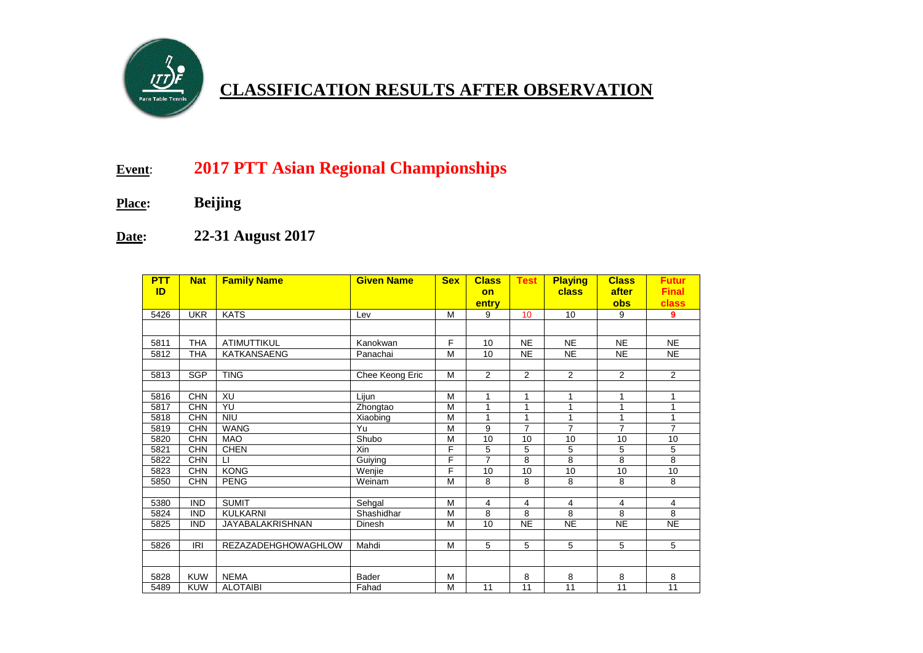

## **CLASSIFICATION RESULTS AFTER OBSERVATION**

## **Event**: **2017 PTT Asian Regional Championships**

- **Place: Beijing**
- **Date: 22-31 August 2017**

| <b>PTT</b> | <b>Nat</b> | <b>Family Name</b>  | <b>Given Name</b> | <b>Sex</b>     | <b>Class</b>    | <b>Test</b>     | <b>Playing</b> | <b>Class</b>        | <b>Futur</b>          |
|------------|------------|---------------------|-------------------|----------------|-----------------|-----------------|----------------|---------------------|-----------------------|
| ID         |            |                     |                   |                | on<br>entry     |                 | class          | after<br><b>obs</b> | <b>Final</b><br>class |
| 5426       | <b>UKR</b> | <b>KATS</b>         | Lev               | M              | 9               | 10 <sup>°</sup> | 10             | 9                   | 9                     |
|            |            |                     |                   |                |                 |                 |                |                     |                       |
| 5811       | <b>THA</b> | <b>ATIMUTTIKUL</b>  | Kanokwan          | F              | 10              | <b>NE</b>       | <b>NE</b>      | <b>NE</b>           | <b>NE</b>             |
| 5812       | <b>THA</b> | <b>KATKANSAENG</b>  | Panachai          | M              | 10 <sup>1</sup> | <b>NE</b>       | <b>NE</b>      | <b>NE</b>           | <b>NE</b>             |
|            |            |                     |                   |                |                 |                 |                |                     |                       |
| 5813       | <b>SGP</b> | <b>TING</b>         | Chee Keong Eric   | M              | 2               | $\overline{2}$  | 2              | 2                   | 2                     |
|            |            |                     |                   |                |                 |                 |                |                     |                       |
| 5816       | <b>CHN</b> | XU                  | Lijun             | M              | $\mathbf{1}$    | 1               | $\mathbf{1}$   | $\mathbf{1}$        | $\mathbf{1}$          |
| 5817       | <b>CHN</b> | YU                  | Zhongtao          | M              | 1               | 1               | 1              | 1                   | $\mathbf{1}$          |
| 5818       | <b>CHN</b> | <b>NIU</b>          | Xiaobing          | M              | 1               | 1               | 1              | 1                   | 1                     |
| 5819       | <b>CHN</b> | <b>WANG</b>         | Yu                | M              | 9               | $\overline{7}$  | $\overline{7}$ | $\overline{7}$      | $\overline{7}$        |
| 5820       | <b>CHN</b> | <b>MAO</b>          | Shubo             | M              | 10              | 10              | 10             | 10                  | 10                    |
| 5821       | <b>CHN</b> | <b>CHEN</b>         | Xin               | F              | 5               | 5               | 5              | 5                   | 5                     |
| 5822       | <b>CHN</b> | $\sqcup$            | Guiying           | F              | $\overline{7}$  | 8               | 8              | 8                   | 8                     |
| 5823       | <b>CHN</b> | <b>KONG</b>         | Wenjie            | F              | 10              | $\overline{10}$ | 10             | 10                  | 10                    |
| 5850       | <b>CHN</b> | <b>PENG</b>         | Weinam            | $\overline{M}$ | 8               | 8               | 8              | 8                   | 8                     |
|            |            |                     |                   |                |                 |                 |                |                     |                       |
| 5380       | <b>IND</b> | <b>SUMIT</b>        | Sehgal            | M              | 4               | 4               | 4              | 4                   | 4                     |
| 5824       | <b>IND</b> | <b>KULKARNI</b>     | Shashidhar        | M              | 8               | 8               | 8              | 8                   | 8                     |
| 5825       | <b>IND</b> | JAYABALAKRISHNAN    | Dinesh            | M              | 10              | <b>NE</b>       | <b>NE</b>      | <b>NE</b>           | <b>NE</b>             |
|            |            |                     |                   |                |                 |                 |                |                     |                       |
| 5826       | IRI        | REZAZADEHGHOWAGHLOW | Mahdi             | M              | 5               | 5               | 5              | 5                   | 5                     |
|            |            |                     |                   |                |                 |                 |                |                     |                       |
| 5828       | <b>KUW</b> | <b>NEMA</b>         | <b>Bader</b>      | M              |                 | 8               | 8              | 8                   | 8                     |
| 5489       | <b>KUW</b> | <b>ALOTAIBI</b>     | Fahad             | M              | 11              | 11              | 11             | 11                  | 11                    |